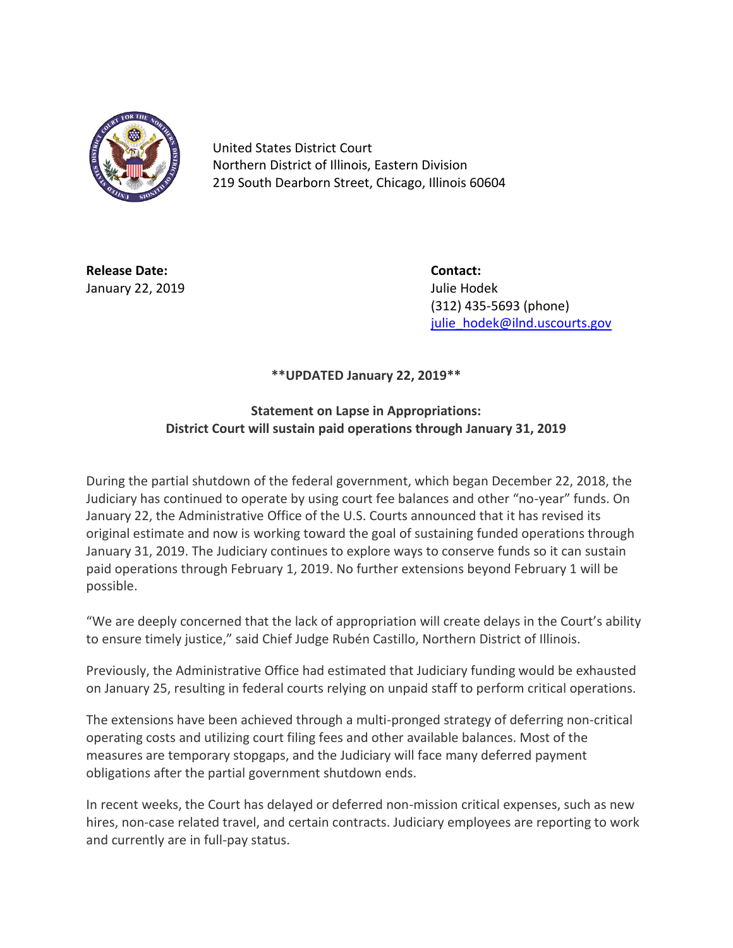

United States District Court Northern District of Illinois, Eastern Division 219 South Dearborn Street, Chicago, Illinois 60604

**Release Date: Contact:** January 22, 2019 Julie Hodek

(312) 435-5693 (phone) [julie\\_hodek@ilnd.uscourts.gov](mailto:julie_hodek@ilnd.uscourts.gov)

## **\*\*UPDATED January 22, 2019\*\***

## **Statement on Lapse in Appropriations: District Court will sustain paid operations through January 31, 2019**

During the partial shutdown of the federal government, which began December 22, 2018, the Judiciary has continued to operate by using court fee balances and other "no-year" funds. On January 22, the Administrative Office of the U.S. Courts announced that it has revised its original estimate and now is working toward the goal of sustaining funded operations through January 31, 2019. The Judiciary continues to explore ways to conserve funds so it can sustain paid operations through February 1, 2019. No further extensions beyond February 1 will be possible.

"We are deeply concerned that the lack of appropriation will create delays in the Court's ability to ensure timely justice," said Chief Judge Rubén Castillo, Northern District of Illinois.

Previously, the Administrative Office had estimated that Judiciary funding would be exhausted on January 25, resulting in federal courts relying on unpaid staff to perform critical operations.

The extensions have been achieved through a multi-pronged strategy of deferring non-critical operating costs and utilizing court filing fees and other available balances. Most of the measures are temporary stopgaps, and the Judiciary will face many deferred payment obligations after the partial government shutdown ends.

In recent weeks, the Court has delayed or deferred non-mission critical expenses, such as new hires, non-case related travel, and certain contracts. Judiciary employees are reporting to work and currently are in full-pay status.